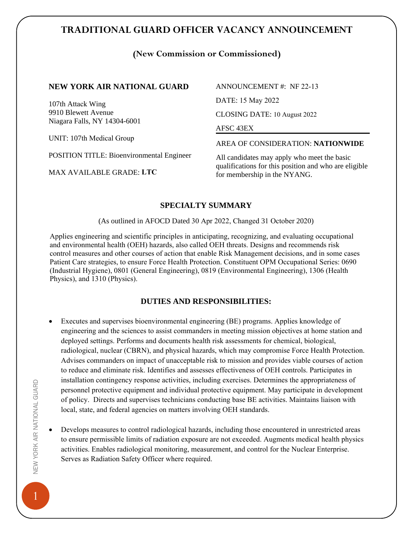# **TRADITIONAL GUARD OFFICER VACANCY ANNOUNCEMENT**

### **(New Commission or Commissioned)**

#### **NEW YORK AIR NATIONAL GUARD**

107th Attack Wing 9910 Blewett Avenue Niagara Falls, NY 14304-6001

UNIT: 107th Medical Group

POSITION TITLE: Bioenvironmental Engineer

MAX AVAILABLE GRADE: **LTC**

ANNOUNCEMENT #: NF 22-13 DATE: 15 May 2022

CLOSING DATE: 10 August 2022

#### AFSC 43EX

AREA OF CONSIDERATION: **NATIONWIDE**

All candidates may apply who meet the basic qualifications for this position and who are eligible for membership in the NYANG.

#### **SPECIALTY SUMMARY**

(As outlined in AFOCD Dated 30 Apr 2022, Changed 31 October 2020)

Applies engineering and scientific principles in anticipating, recognizing, and evaluating occupational and environmental health (OEH) hazards, also called OEH threats. Designs and recommends risk control measures and other courses of action that enable Risk Management decisions, and in some cases Patient Care strategies, to ensure Force Health Protection. Constituent OPM Occupational Series: 0690 (Industrial Hygiene), 0801 (General Engineering), 0819 (Environmental Engineering), 1306 (Health Physics), and 1310 (Physics).

### **DUTIES AND RESPONSIBILITIES:**

- Executes and supervises bioenvironmental engineering (BE) programs. Applies knowledge of engineering and the sciences to assist commanders in meeting mission objectives at home station and deployed settings. Performs and documents health risk assessments for chemical, biological, radiological, nuclear (CBRN), and physical hazards, which may compromise Force Health Protection. Advises commanders on impact of unacceptable risk to mission and provides viable courses of action to reduce and eliminate risk. Identifies and assesses effectiveness of OEH controls. Participates in installation contingency response activities, including exercises. Determines the appropriateness of personnel protective equipment and individual protective equipment. May participate in development of policy. Directs and supervises technicians conducting base BE activities. Maintains liaison with local, state, and federal agencies on matters involving OEH standards.
- Develops measures to control radiological hazards, including those encountered in unrestricted areas to ensure permissible limits of radiation exposure are not exceeded. Augments medical health physics activities. Enables radiological monitoring, measurement, and control for the Nuclear Enterprise. Serves as Radiation Safety Officer where required.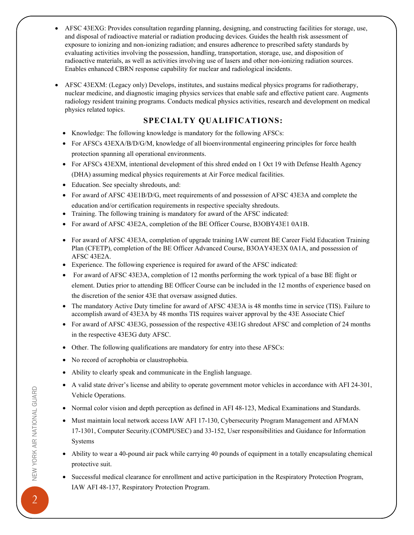- AFSC 43EXG: Provides consultation regarding planning, designing, and constructing facilities for storage, use, and disposal of radioactive material or radiation producing devices. Guides the health risk assessment of exposure to ionizing and non-ionizing radiation; and ensures adherence to prescribed safety standards by evaluating activities involving the possession, handling, transportation, storage, use, and disposition of radioactive materials, as well as activities involving use of lasers and other non-ionizing radiation sources. Enables enhanced CBRN response capability for nuclear and radiological incidents.
- AFSC 43EXM: (Legacy only) Develops, institutes, and sustains medical physics programs for radiotherapy, nuclear medicine, and diagnostic imaging physics services that enable safe and effective patient care. Augments radiology resident training programs. Conducts medical physics activities, research and development on medical physics related topics.

# **SPECIALTY QUALIFICATIONS:**

- Knowledge: The following knowledge is mandatory for the following AFSCs:
- For AFSCs 43EXA/B/D/G/M, knowledge of all bioenvironmental engineering principles for force health protection spanning all operational environments.
- For AFSCs 43EXM, intentional development of this shred ended on 1 Oct 19 with Defense Health Agency (DHA) assuming medical physics requirements at Air Force medical facilities.
- Education. See specialty shredouts, and:
- For award of AFSC 43E1B/D/G, meet requirements of and possession of AFSC 43E3A and complete the education and/or certification requirements in respective specialty shredouts.
- Training. The following training is mandatory for award of the AFSC indicated:
- For award of AFSC 43E2A, completion of the BE Officer Course, B3OBY43E1 0A1B.
- For award of AFSC 43E3A, completion of upgrade training IAW current BE Career Field Education Training Plan (CFETP), completion of the BE Officer Advanced Course, B3OAY43E3X 0A1A, and possession of AFSC 43E2A.
- Experience. The following experience is required for award of the AFSC indicated:
- For award of AFSC 43E3A, completion of 12 months performing the work typical of a base BE flight or element. Duties prior to attending BE Officer Course can be included in the 12 months of experience based on the discretion of the senior 43E that oversaw assigned duties.
- The mandatory Active Duty timeline for award of AFSC 43E3A is 48 months time in service (TIS). Failure to accomplish award of 43E3A by 48 months TIS requires waiver approval by the 43E Associate Chief
- For award of AFSC 43E3G, possession of the respective 43E1G shredout AFSC and completion of 24 months in the respective 43E3G duty AFSC.
- Other. The following qualifications are mandatory for entry into these AFSCs:
- No record of acrophobia or claustrophobia.
- Ability to clearly speak and communicate in the English language.
- A valid state driver's license and ability to operate government motor vehicles in accordance with AFI 24-301, Vehicle Operations.
- Normal color vision and depth perception as defined in AFI 48-123, Medical Examinations and Standards.
- Must maintain local network access IAW AFI 17-130, Cybersecurity Program Management and AFMAN 17-1301, Computer Security.(COMPUSEC) and 33-152, User responsibilities and Guidance for Information Systems
- Ability to wear a 40-pound air pack while carrying 40 pounds of equipment in a totally encapsulating chemical protective suit.
- Successful medical clearance for enrollment and active participation in the Respiratory Protection Program, IAW AFI 48-137, Respiratory Protection Program.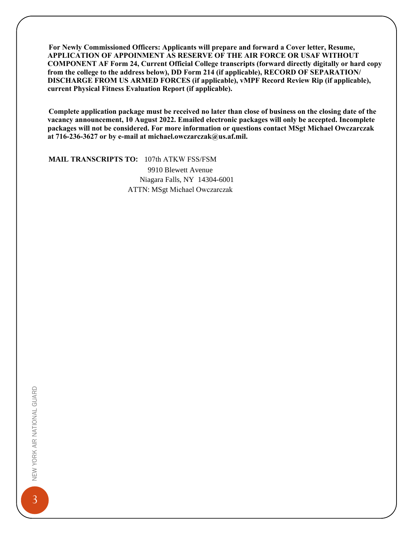**For Newly Commissioned Officers: Applicants will prepare and forward a Cover letter, Resume, APPLICATION OF APPOINMENT AS RESERVE OF THE AIR FORCE OR USAF WITHOUT COMPONENT AF Form 24, Current Official College transcripts (forward directly digitally or hard copy from the college to the address below), DD Form 214 (if applicable), RECORD OF SEPARATION/ DISCHARGE FROM US ARMED FORCES (if applicable), vMPF Record Review Rip (if applicable), current Physical Fitness Evaluation Report (if applicable).**

**Complete application package must be received no later than close of business on the closing date of the vacancy announcement, 10 August 2022. Emailed electronic packages will only be accepted. Incomplete packages will not be considered. For more information or questions contact MSgt Michael Owczarczak at 716-236-3627 or by e-mail at michael.owczarczak@us.af.mil.** 

#### **MAIL TRANSCRIPTS TO:** 107th ATKW FSS/FSM

9910 Blewett Avenue Niagara Falls, NY 14304-6001 ATTN: MSgt Michael Owczarczak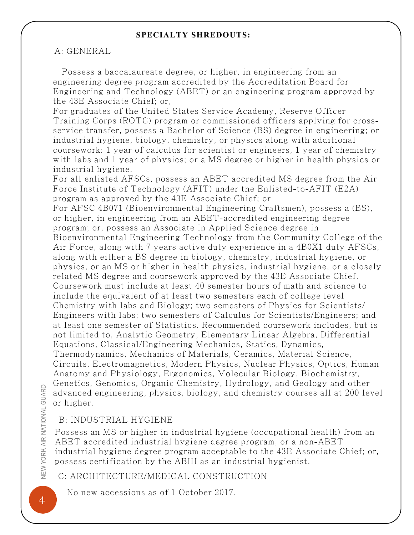## **SPECIALTY SHREDOUTS:**

## A: GENERAL

Possess a baccalaureate degree, or higher, in engineering from an engineering degree program accredited by the Accreditation Board for Engineering and Technology (ABET) or an engineering program approved by the 43E Associate Chief; or,

For graduates of the United States Service Academy, Reserve Officer Training Corps (ROTC) program or commissioned officers applying for crossservice transfer, possess a Bachelor of Science (BS) degree in engineering; or industrial hygiene, biology, chemistry, or physics along with additional coursework: 1 year of calculus for scientist or engineers, 1 year of chemistry with labs and 1 year of physics; or a MS degree or higher in health physics or industrial hygiene.

For all enlisted AFSCs, possess an ABET accredited MS degree from the Air Force Institute of Technology (AFIT) under the Enlisted-to-AFIT (E2A) program as approved by the 43E Associate Chief; or

For AFSC 4B071 (Bioenvironmental Engineering Craftsmen), possess a (BS), or higher, in engineering from an ABET-accredited engineering degree program; or, possess an Associate in Applied Science degree in Bioenvironmental Engineering Technology from the Community College of the Air Force, along with 7 years active duty experience in a 4B0X1 duty AFSCs, along with either a BS degree in biology, chemistry, industrial hygiene, or physics, or an MS or higher in health physics, industrial hygiene, or a closely related MS degree and coursework approved by the 43E Associate Chief. Coursework must include at least 40 semester hours of math and science to include the equivalent of at least two semesters each of college level Chemistry with labs and Biology; two semesters of Physics for Scientists/ Engineers with labs; two semesters of Calculus for Scientists/Engineers; and at least one semester of Statistics. Recommended coursework includes, but is not limited to, Analytic Geometry, Elementary Linear Algebra, Differential Equations, Classical/Engineering Mechanics, Statics, Dynamics,

Thermodynamics, Mechanics of Materials, Ceramics, Material Science, Circuits, Electromagnetics, Modern Physics, Nuclear Physics, Optics, Human Anatomy and Physiology, Ergonomics, Molecular Biology, Biochemistry, Genetics, Genomics, Organic Chemistry, Hydrology, and Geology and other advanced engineering, physics, biology, and chemistry courses all at 200 level or higher.

# B: INDUSTRIAL HYGIENE

Possess an MS or higher in industrial hygiene (occupational health) from an ABET accredited industrial hygiene degree program, or a non-ABET industrial hygiene degree program acceptable to the 43E Associate Chief; or, possess certification by the ABIH as an industrial hygienist.

C: ARCHITECTURE/MEDICAL CONSTRUCTION

No new accessions as of 1 October 2017.